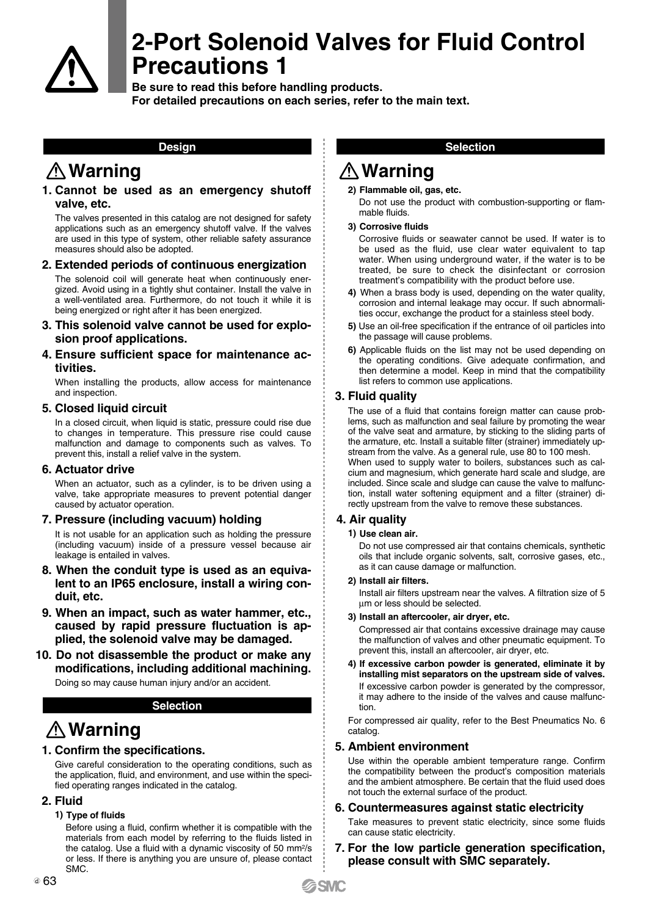

# **2-Port Solenoid Valves for Fluid Control Precautions 1**

**Be sure to read this before handling products. For detailed precautions on each series, refer to the main text.**

### **Design**

## **Warning**

### **1. Cannot be used as an emergency shutoff valve, etc.**

The valves presented in this catalog are not designed for safety applications such as an emergency shutoff valve. If the valves are used in this type of system, other reliable safety assurance measures should also be adopted.

- **2. Extended periods of continuous energization** The solenoid coil will generate heat when continuously energized. Avoid using in a tightly shut container. Install the valve in a well-ventilated area. Furthermore, do not touch it while it is being energized or right after it has been energized.
- **3. This solenoid valve cannot be used for explosion proof applications.**

### **4. Ensure sufficient space for maintenance activities.**

When installing the products, allow access for maintenance and inspection.

### **5. Closed liquid circuit**

In a closed circuit, when liquid is static, pressure could rise due to changes in temperature. This pressure rise could cause malfunction and damage to components such as valves. To prevent this, install a relief valve in the system.

### **6. Actuator drive**

When an actuator, such as a cylinder, is to be driven using a valve, take appropriate measures to prevent potential danger caused by actuator operation.

### **7. Pressure (including vacuum) holding**

It is not usable for an application such as holding the pressure (including vacuum) inside of a pressure vessel because air leakage is entailed in valves.

- **8. When the conduit type is used as an equivalent to an IP65 enclosure, install a wiring conduit, etc.**
- **9. When an impact, such as water hammer, etc., caused by rapid pressure fluctuation is applied, the solenoid valve may be damaged.**
- **10. Do not disassemble the product or make any modifications, including additional machining.**

Doing so may cause human injury and/or an accident.

### **Selection**

# **Warning**

### **1. Confirm the specifications.**

Give careful consideration to the operating conditions, such as the application, fluid, and environment, and use within the specified operating ranges indicated in the catalog.

### **2. Fluid**

### **1) Type of fluids**

Before using a fluid, confirm whether it is compatible with the materials from each model by referring to the fluids listed in the catalog. Use a fluid with a dynamic viscosity of 50 mm2/s or less. If there is anything you are unsure of, please contact SMC.

### **Selection**

## **Warning**

### **2) Flammable oil, gas, etc.**

Do not use the product with combustion-supporting or flammable fluids.

#### **3) Corrosive fluids**

Corrosive fluids or seawater cannot be used. If water is to be used as the fluid, use clear water equivalent to tap water. When using underground water, if the water is to be treated, be sure to check the disinfectant or corrosion treatment's compatibility with the product before use.

- **4)** When a brass body is used, depending on the water quality, corrosion and internal leakage may occur. If such abnormalities occur, exchange the product for a stainless steel body.
- **5)** Use an oil-free specification if the entrance of oil particles into the passage will cause problems.
- **6)** Applicable fluids on the list may not be used depending on the operating conditions. Give adequate confirmation, and then determine a model. Keep in mind that the compatibility list refers to common use applications.

### **3. Fluid quality**

The use of a fluid that contains foreign matter can cause problems, such as malfunction and seal failure by promoting the wear of the valve seat and armature, by sticking to the sliding parts of the armature, etc. Install a suitable filter (strainer) immediately upstream from the valve. As a general rule, use 80 to 100 mesh. When used to supply water to boilers, substances such as calcium and magnesium, which generate hard scale and sludge, are included. Since scale and sludge can cause the valve to malfunction, install water softening equipment and a filter (strainer) directly upstream from the valve to remove these substances.

### **4. Air quality**

### **1) Use clean air.**

Do not use compressed air that contains chemicals, synthetic oils that include organic solvents, salt, corrosive gases, etc., as it can cause damage or malfunction.

#### **2) Install air filters.**

Install air filters upstream near the valves. A filtration size of 5 µm or less should be selected.

### **3) Install an aftercooler, air dryer, etc.**

Compressed air that contains excessive drainage may cause the malfunction of valves and other pneumatic equipment. To prevent this, install an aftercooler, air dryer, etc.

**4) If excessive carbon powder is generated, eliminate it by installing mist separators on the upstream side of valves.** If excessive carbon powder is generated by the compressor, it may adhere to the inside of the valves and cause malfunction.

For compressed air quality, refer to the Best Pneumatics No. 6 catalog.

### **5. Ambient environment**

Use within the operable ambient temperature range. Confirm the compatibility between the product's composition materials and the ambient atmosphere. Be certain that the fluid used does not touch the external surface of the product.

### **6. Countermeasures against static electricity**

Take measures to prevent static electricity, since some fluids can cause static electricity.

### **7. For the low particle generation specification, please consult with SMC separately.**

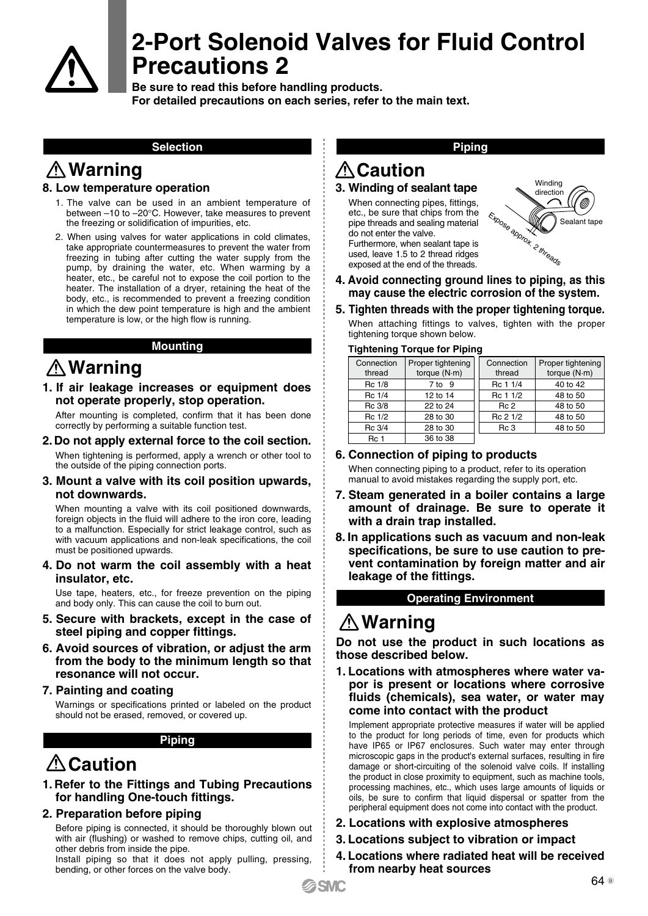

# **2-Port Solenoid Valves for Fluid Control Precautions 2**

**Be sure to read this before handling products. For detailed precautions on each series, refer to the main text.**

### **Selection**

# **Warning**

### **8. Low temperature operation**

- 1. The valve can be used in an ambient temperature of between –10 to –20°C. However, take measures to prevent the freezing or solidification of impurities, etc.
- 2. When using valves for water applications in cold climates, take appropriate countermeasures to prevent the water from freezing in tubing after cutting the water supply from the pump, by draining the water, etc. When warming by a heater, etc., be careful not to expose the coil portion to the heater. The installation of a dryer, retaining the heat of the body, etc., is recommended to prevent a freezing condition in which the dew point temperature is high and the ambient temperature is low, or the high flow is running.

### **Mounting**

## **Warning**

**1. If air leakage increases or equipment does not operate properly, stop operation.**

After mounting is completed, confirm that it has been done correctly by performing a suitable function test.

- **2. Do not apply external force to the coil section.** When tightening is performed, apply a wrench or other tool to the outside of the piping connection ports.
- **3. Mount a valve with its coil position upwards, not downwards.**

When mounting a valve with its coil positioned downwards, foreign objects in the fluid will adhere to the iron core, leading to a malfunction. Especially for strict leakage control, such as with vacuum applications and non-leak specifications, the coil must be positioned upwards.

**4. Do not warm the coil assembly with a heat insulator, etc.**

Use tape, heaters, etc., for freeze prevention on the piping and body only. This can cause the coil to burn out.

- **5. Secure with brackets, except in the case of steel piping and copper fittings.**
- **6. Avoid sources of vibration, or adjust the arm from the body to the minimum length so that resonance will not occur.**
- **7. Painting and coating**

Warnings or specifications printed or labeled on the product should not be erased, removed, or covered up.

### **Piping**

## **Caution**

### **1. Refer to the Fittings and Tubing Precautions for handling One-touch fittings.**

## **2. Preparation before piping**

Before piping is connected, it should be thoroughly blown out with air (flushing) or washed to remove chips, cutting oil, and other debris from inside the pipe.

Install piping so that it does not apply pulling, pressing, bending, or other forces on the valve body.

### **Piping**

# **Caution**

**3. Winding of sealant tape** When connecting pipes, fittings, etc., be sure that chips from the pipe threads and sealing material do not enter the valve. Furthermore, when sealant tape is used, leave 1.5 to 2 thread ridges exposed at the end of the threads.



- **4. Avoid connecting ground lines to piping, as this may cause the electric corrosion of the system.**
- **5. Tighten threads with the proper tightening torque.** When attaching fittings to valves, tighten with the proper

#### tightening torque shown below. **Tightening Torque for Piping**

| Connection<br>thread | Proper tightening<br>torque $(N \cdot m)$ | Proper tightening<br>Connection<br>torque $(N \cdot m)$<br>thread |
|----------------------|-------------------------------------------|-------------------------------------------------------------------|
| Rc 1/8               | 7 to 9                                    | Rc 1 1/4<br>40 to 42                                              |
| Rc 1/4               | 12 to 14                                  | Rc 1 1/2<br>48 to 50                                              |
| Rc 3/8               | 22 to 24                                  | Rc <sub>2</sub><br>48 to 50                                       |
| $Rc$ 1/2             | 28 to 30                                  | Rc 2 1/2<br>48 to 50                                              |
| Rc 3/4               | 28 to 30                                  | Rc 3<br>48 to 50                                                  |
| Rc 1                 | 36 to 38                                  |                                                                   |

### **6. Connection of piping to products**

When connecting piping to a product, refer to its operation manual to avoid mistakes regarding the supply port, etc.

- **7. Steam generated in a boiler contains a large amount of drainage. Be sure to operate it with a drain trap installed.**
- **8. In applications such as vacuum and non-leak specifications, be sure to use caution to prevent contamination by foreign matter and air leakage of the fittings.**

### **Operating Environment**

# **Warning**

**Do not use the product in such locations as those described below.** 

**1. Locations with atmospheres where water vapor is present or locations where corrosive fluids (chemicals), sea water, or water may come into contact with the product**

Implement appropriate protective measures if water will be applied to the product for long periods of time, even for products which have IP65 or IP67 enclosures. Such water may enter through microscopic gaps in the product's external surfaces, resulting in fire damage or short-circuiting of the solenoid valve coils. If installing the product in close proximity to equipment, such as machine tools, processing machines, etc., which uses large amounts of liquids or oils, be sure to confirm that liquid dispersal or spatter from the peripheral equipment does not come into contact with the product.

- **2. Locations with explosive atmospheres**
- **3. Locations subject to vibration or impact**
- **4. Locations where radiated heat will be received from nearby heat sources**